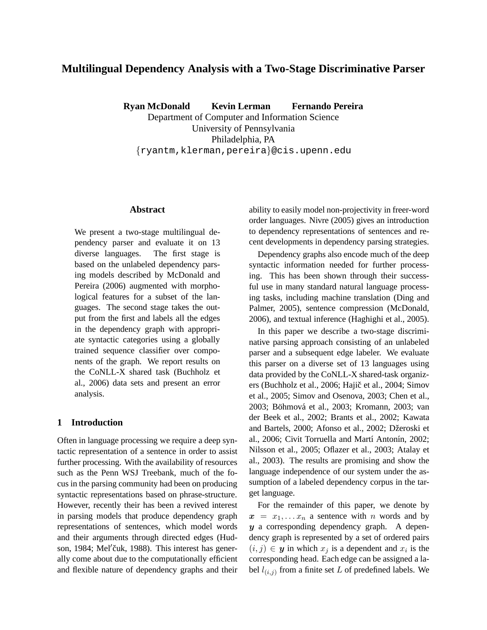# **Multilingual Dependency Analysis with a Two-Stage Discriminative Parser**

**Ryan McDonald Kevin Lerman Fernando Pereira**

Department of Computer and Information Science University of Pennsylvania Philadelphia, PA {ryantm,klerman,pereira}@cis.upenn.edu

# **Abstract**

We present a two-stage multilingual dependency parser and evaluate it on 13 diverse languages. The first stage is based on the unlabeled dependency parsing models described by McDonald and Pereira (2006) augmented with morphological features for a subset of the languages. The second stage takes the output from the first and labels all the edges in the dependency graph with appropriate syntactic categories using a globally trained sequence classifier over components of the graph. We report results on the CoNLL-X shared task (Buchholz et al., 2006) data sets and present an error analysis.

### **1 Introduction**

Often in language processing we require a deep syntactic representation of a sentence in order to assist further processing. With the availability of resources such as the Penn WSJ Treebank, much of the focus in the parsing community had been on producing syntactic representations based on phrase-structure. However, recently their has been a revived interest in parsing models that produce dependency graph representations of sentences, which model words and their arguments through directed edges (Hudson, 1984; Mel'čuk, 1988). This interest has generally come about due to the computationally efficient and flexible nature of dependency graphs and their

ability to easily model non-projectivity in freer-word order languages. Nivre (2005) gives an introduction to dependency representations of sentences and recent developments in dependency parsing strategies.

Dependency graphs also encode much of the deep syntactic information needed for further processing. This has been shown through their successful use in many standard natural language processing tasks, including machine translation (Ding and Palmer, 2005), sentence compression (McDonald, 2006), and textual inference (Haghighi et al., 2005).

In this paper we describe a two-stage discriminative parsing approach consisting of an unlabeled parser and a subsequent edge labeler. We evaluate this parser on a diverse set of 13 languages using data provided by the CoNLL-X shared-task organizers (Buchholz et al., 2006; Hajič et al., 2004; Simov et al., 2005; Simov and Osenova, 2003; Chen et al., 2003; Böhmová et al., 2003; Kromann, 2003; van der Beek et al., 2002; Brants et al., 2002; Kawata and Bartels, 2000; Afonso et al., 2002; Džeroski et al., 2006; Civit Torruella and Martí Antonín, 2002; Nilsson et al., 2005; Oflazer et al., 2003; Atalay et al., 2003). The results are promising and show the language independence of our system under the assumption of a labeled dependency corpus in the target language.

For the remainder of this paper, we denote by  $x = x_1, \ldots x_n$  a sentence with n words and by y a corresponding dependency graph. A dependency graph is represented by a set of ordered pairs  $(i, j) \in y$  in which  $x_j$  is a dependent and  $x_i$  is the corresponding head. Each edge can be assigned a label  $l_{(i,j)}$  from a finite set L of predefined labels. We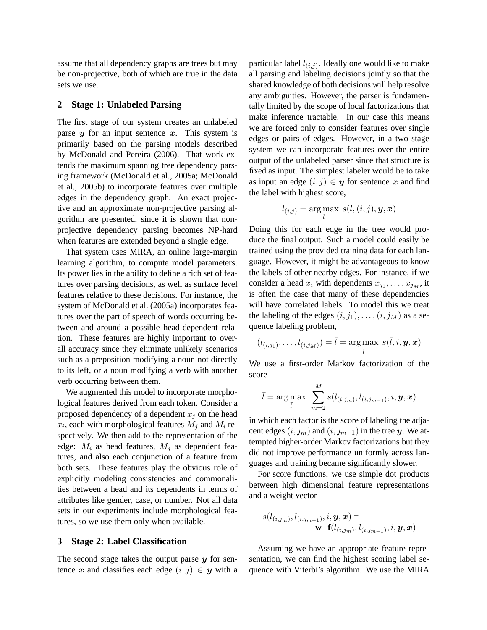assume that all dependency graphs are trees but may be non-projective, both of which are true in the data sets we use.

### **2 Stage 1: Unlabeled Parsing**

The first stage of our system creates an unlabeled parse  $y$  for an input sentence  $x$ . This system is primarily based on the parsing models described by McDonald and Pereira (2006). That work extends the maximum spanning tree dependency parsing framework (McDonald et al., 2005a; McDonald et al., 2005b) to incorporate features over multiple edges in the dependency graph. An exact projective and an approximate non-projective parsing algorithm are presented, since it is shown that nonprojective dependency parsing becomes NP-hard when features are extended beyond a single edge.

That system uses MIRA, an online large-margin learning algorithm, to compute model parameters. Its power lies in the ability to define a rich set of features over parsing decisions, as well as surface level features relative to these decisions. For instance, the system of McDonald et al. (2005a) incorporates features over the part of speech of words occurring between and around a possible head-dependent relation. These features are highly important to overall accuracy since they eliminate unlikely scenarios such as a preposition modifying a noun not directly to its left, or a noun modifying a verb with another verb occurring between them.

We augmented this model to incorporate morphological features derived from each token. Consider a proposed dependency of a dependent  $x_i$  on the head  $x_i$ , each with morphological features  $M_j$  and  $M_i$  respectively. We then add to the representation of the edge:  $M_i$  as head features,  $M_i$  as dependent features, and also each conjunction of a feature from both sets. These features play the obvious role of explicitly modeling consistencies and commonalities between a head and its dependents in terms of attributes like gender, case, or number. Not all data sets in our experiments include morphological features, so we use them only when available.

#### **3 Stage 2: Label Classification**

The second stage takes the output parse  $y$  for sentence x and classifies each edge  $(i, j) \in y$  with a

particular label  $l_{(i,j)}$ . Ideally one would like to make all parsing and labeling decisions jointly so that the shared knowledge of both decisions will help resolve any ambiguities. However, the parser is fundamentally limited by the scope of local factorizations that make inference tractable. In our case this means we are forced only to consider features over single edges or pairs of edges. However, in a two stage system we can incorporate features over the entire output of the unlabeled parser since that structure is fixed as input. The simplest labeler would be to take as input an edge  $(i, j) \in y$  for sentence x and find the label with highest score,

$$
l_{(i,j)} = \arg\max_l \ s(l,(i,j),\boldsymbol{y},\boldsymbol{x})
$$

Doing this for each edge in the tree would produce the final output. Such a model could easily be trained using the provided training data for each language. However, it might be advantageous to know the labels of other nearby edges. For instance, if we consider a head  $x_i$  with dependents  $x_{j_1}, \ldots, x_{j_M}$ , it is often the case that many of these dependencies will have correlated labels. To model this we treat the labeling of the edges  $(i, j_1), \ldots, (i, j_M)$  as a sequence labeling problem,

$$
(l_{(i,j_1)},\ldots,l_{(i,j_M)})=\bar{l}=\argmax_{\bar{l}}\;s(\bar{l},i,\bm{y},\bm{x})
$$

We use a first-order Markov factorization of the score

$$
\bar{l} = \argmax_{\bar{l}} \ \sum_{m=2}^M s(l_{(i,j_m)}, l_{(i,j_{m-1})}, i, \bm{y}, \bm{x})
$$

in which each factor is the score of labeling the adjacent edges  $(i,j_m)$  and  $(i,j_{m-1})$  in the tree y. We attempted higher-order Markov factorizations but they did not improve performance uniformly across languages and training became significantly slower.

For score functions, we use simple dot products between high dimensional feature representations and a weight vector

$$
s(l_{(i,j_m)},l_{(i,j_{m-1})},i,\boldsymbol{y},\boldsymbol{x}) =\\ \textbf{w} \cdot \textbf{f}(l_{(i,j_m)},l_{(i,j_{m-1})},i,\boldsymbol{y},\boldsymbol{x})
$$

Assuming we have an appropriate feature representation, we can find the highest scoring label sequence with Viterbi's algorithm. We use the MIRA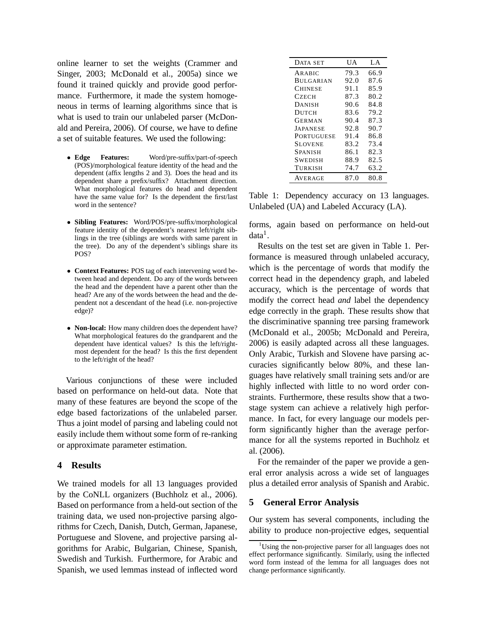online learner to set the weights (Crammer and Singer, 2003; McDonald et al., 2005a) since we found it trained quickly and provide good performance. Furthermore, it made the system homogeneous in terms of learning algorithms since that is what is used to train our unlabeled parser (McDonald and Pereira, 2006). Of course, we have to define a set of suitable features. We used the following:

- **Edge Features:** Word/pre-suffix/part-of-speech (POS)/morphological feature identity of the head and the dependent (affix lengths 2 and 3). Does the head and its dependent share a prefix/suffix? Attachment direction. What morphological features do head and dependent have the same value for? Is the dependent the first/last word in the sentence?
- **Sibling Features:** Word/POS/pre-suffix/morphological feature identity of the dependent's nearest left/right siblings in the tree (siblings are words with same parent in the tree). Do any of the dependent's siblings share its POS?
- **Context Features:** POS tag of each intervening word between head and dependent. Do any of the words between the head and the dependent have a parent other than the head? Are any of the words between the head and the dependent not a descendant of the head (i.e. non-projective edge)?
- **Non-local:** How many children does the dependent have? What morphological features do the grandparent and the dependent have identical values? Is this the left/rightmost dependent for the head? Is this the first dependent to the left/right of the head?

Various conjunctions of these were included based on performance on held-out data. Note that many of these features are beyond the scope of the edge based factorizations of the unlabeled parser. Thus a joint model of parsing and labeling could not easily include them without some form of re-ranking or approximate parameter estimation.

# **4 Results**

We trained models for all 13 languages provided by the CoNLL organizers (Buchholz et al., 2006). Based on performance from a held-out section of the training data, we used non-projective parsing algorithms for Czech, Danish, Dutch, German, Japanese, Portuguese and Slovene, and projective parsing algorithms for Arabic, Bulgarian, Chinese, Spanish, Swedish and Turkish. Furthermore, for Arabic and Spanish, we used lemmas instead of inflected word

| DATA SET          | UA   | LA   |
|-------------------|------|------|
| ARABIC            | 79.3 | 66.9 |
| <b>BULGARIAN</b>  | 92.0 | 87.6 |
| <b>CHINESE</b>    | 91.1 | 85.9 |
| CZECH             | 87.3 | 80.2 |
| <b>DANISH</b>     | 90.6 | 84.8 |
| DUTCH             | 83.6 | 79.2 |
| GERMAN            | 90.4 | 87.3 |
| <b>JAPANESE</b>   | 92.8 | 90.7 |
| <b>PORTUGUESE</b> | 91.4 | 86.8 |
| <b>SLOVENE</b>    | 83.2 | 73.4 |
| <b>SPANISH</b>    | 86.1 | 82.3 |
| <b>SWEDISH</b>    | 88.9 | 82.5 |
| TURKISH           | 74.7 | 63.2 |
| <b>AVERAGE</b>    | 87.0 | 80.8 |

Table 1: Dependency accuracy on 13 languages. Unlabeled (UA) and Labeled Accuracy (LA).

forms, again based on performance on held-out  $data<sup>1</sup>$ .

Results on the test set are given in Table 1. Performance is measured through unlabeled accuracy, which is the percentage of words that modify the correct head in the dependency graph, and labeled accuracy, which is the percentage of words that modify the correct head *and* label the dependency edge correctly in the graph. These results show that the discriminative spanning tree parsing framework (McDonald et al., 2005b; McDonald and Pereira, 2006) is easily adapted across all these languages. Only Arabic, Turkish and Slovene have parsing accuracies significantly below 80%, and these languages have relatively small training sets and/or are highly inflected with little to no word order constraints. Furthermore, these results show that a twostage system can achieve a relatively high performance. In fact, for every language our models perform significantly higher than the average performance for all the systems reported in Buchholz et al. (2006).

For the remainder of the paper we provide a general error analysis across a wide set of languages plus a detailed error analysis of Spanish and Arabic.

#### **5 General Error Analysis**

Our system has several components, including the ability to produce non-projective edges, sequential

<sup>&</sup>lt;sup>1</sup>Using the non-projective parser for all languages does not effect performance significantly. Similarly, using the inflected word form instead of the lemma for all languages does not change performance significantly.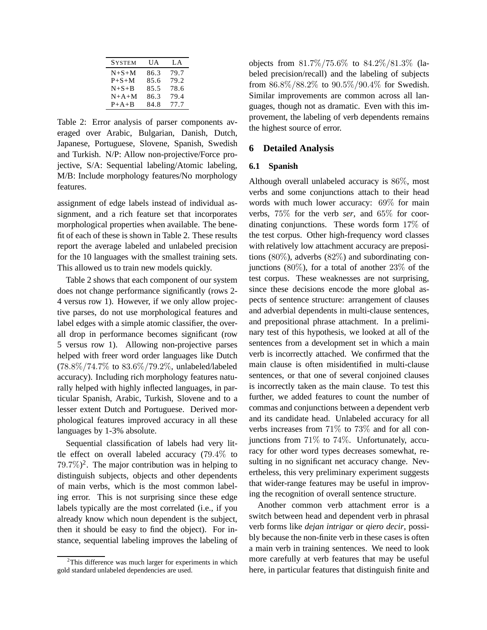| <b>SYSTEM</b> | UA   | LA.  |
|---------------|------|------|
| $N + S + M$   | 86.3 | 79.7 |
| $P + S + M$   | 85.6 | 79.2 |
| $N+S+B$       | 85.5 | 78.6 |
| $N+A+M$       | 86.3 | 79.4 |
| $P+A+B$       | 84.8 | 77.7 |

Table 2: Error analysis of parser components averaged over Arabic, Bulgarian, Danish, Dutch, Japanese, Portuguese, Slovene, Spanish, Swedish and Turkish. N/P: Allow non-projective/Force projective, S/A: Sequential labeling/Atomic labeling, M/B: Include morphology features/No morphology features.

assignment of edge labels instead of individual assignment, and a rich feature set that incorporates morphological properties when available. The benefit of each of these is shown in Table 2. These results report the average labeled and unlabeled precision for the 10 languages with the smallest training sets. This allowed us to train new models quickly.

Table 2 shows that each component of our system does not change performance significantly (rows 2- 4 versus row 1). However, if we only allow projective parses, do not use morphological features and label edges with a simple atomic classifier, the overall drop in performance becomes significant (row 5 versus row 1). Allowing non-projective parses helped with freer word order languages like Dutch (78.8%/74.7% to 83.6%/79.2%, unlabeled/labeled accuracy). Including rich morphology features naturally helped with highly inflected languages, in particular Spanish, Arabic, Turkish, Slovene and to a lesser extent Dutch and Portuguese. Derived morphological features improved accuracy in all these languages by 1-3% absolute.

Sequential classification of labels had very little effect on overall labeled accuracy (79.4% to  $79.7\%)^2$ . The major contribution was in helping to distinguish subjects, objects and other dependents of main verbs, which is the most common labeling error. This is not surprising since these edge labels typically are the most correlated (i.e., if you already know which noun dependent is the subject, then it should be easy to find the object). For instance, sequential labeling improves the labeling of objects from 81.7%/75.6% to 84.2%/81.3% (labeled precision/recall) and the labeling of subjects from 86.8%/88.2% to 90.5%/90.4% for Swedish. Similar improvements are common across all languages, though not as dramatic. Even with this improvement, the labeling of verb dependents remains the highest source of error.

# **6 Detailed Analysis**

#### **6.1 Spanish**

Although overall unlabeled accuracy is 86%, most verbs and some conjunctions attach to their head words with much lower accuracy: 69% for main verbs, 75% for the verb *ser*, and 65% for coordinating conjunctions. These words form 17% of the test corpus. Other high-frequency word classes with relatively low attachment accuracy are prepositions  $(80\%)$ , adverbs  $(82\%)$  and subordinating conjunctions  $(80\%)$ , for a total of another  $23\%$  of the test corpus. These weaknesses are not surprising, since these decisions encode the more global aspects of sentence structure: arrangement of clauses and adverbial dependents in multi-clause sentences, and prepositional phrase attachment. In a preliminary test of this hypothesis, we looked at all of the sentences from a development set in which a main verb is incorrectly attached. We confirmed that the main clause is often misidentified in multi-clause sentences, or that one of several conjoined clauses is incorrectly taken as the main clause. To test this further, we added features to count the number of commas and conjunctions between a dependent verb and its candidate head. Unlabeled accuracy for all verbs increases from 71% to 73% and for all conjunctions from 71% to 74%. Unfortunately, accuracy for other word types decreases somewhat, resulting in no significant net accuracy change. Nevertheless, this very preliminary experiment suggests that wider-range features may be useful in improving the recognition of overall sentence structure.

Another common verb attachment error is a switch between head and dependent verb in phrasal verb forms like *dejan intrigar* or *qiero decir*, possibly because the non-finite verb in these cases is often a main verb in training sentences. We need to look more carefully at verb features that may be useful here, in particular features that distinguish finite and

 $2$ This difference was much larger for experiments in which gold standard unlabeled dependencies are used.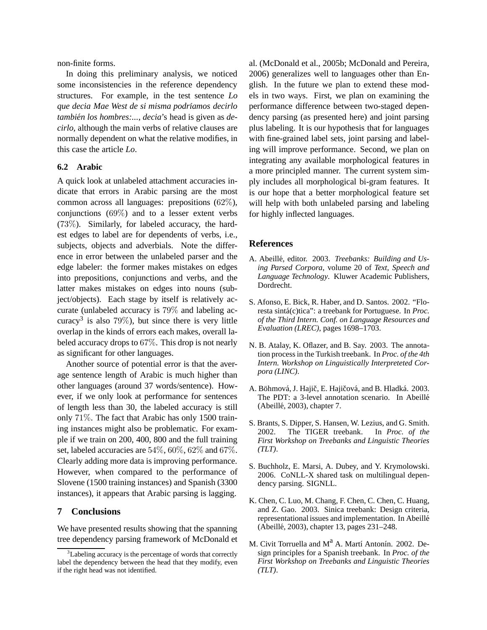non-finite forms.

In doing this preliminary analysis, we noticed some inconsistencies in the reference dependency structures. For example, in the test sentence *Lo que decia Mae West de si misma podr´ıamos decirlo también los hombres:..., decia*'s head is given as *decirlo*, although the main verbs of relative clauses are normally dependent on what the relative modifies, in this case the article *Lo*.

### **6.2 Arabic**

A quick look at unlabeled attachment accuracies indicate that errors in Arabic parsing are the most common across all languages: prepositions (62%), conjunctions (69%) and to a lesser extent verbs (73%). Similarly, for labeled accuracy, the hardest edges to label are for dependents of verbs, i.e., subjects, objects and adverbials. Note the difference in error between the unlabeled parser and the edge labeler: the former makes mistakes on edges into prepositions, conjunctions and verbs, and the latter makes mistakes on edges into nouns (subject/objects). Each stage by itself is relatively accurate (unlabeled accuracy is 79% and labeling accuracy<sup>3</sup> is also 79%), but since there is very little overlap in the kinds of errors each makes, overall labeled accuracy drops to 67%. This drop is not nearly as significant for other languages.

Another source of potential error is that the average sentence length of Arabic is much higher than other languages (around 37 words/sentence). However, if we only look at performance for sentences of length less than 30, the labeled accuracy is still only 71%. The fact that Arabic has only 1500 training instances might also be problematic. For example if we train on 200, 400, 800 and the full training set, labeled accuracies are 54%, 60%, 62% and 67%. Clearly adding more data is improving performance. However, when compared to the performance of Slovene (1500 training instances) and Spanish (3300 instances), it appears that Arabic parsing is lagging.

# **7 Conclusions**

We have presented results showing that the spanning tree dependency parsing framework of McDonald et al. (McDonald et al., 2005b; McDonald and Pereira, 2006) generalizes well to languages other than English. In the future we plan to extend these models in two ways. First, we plan on examining the performance difference between two-staged dependency parsing (as presented here) and joint parsing plus labeling. It is our hypothesis that for languages with fine-grained label sets, joint parsing and labeling will improve performance. Second, we plan on integrating any available morphological features in a more principled manner. The current system simply includes all morphological bi-gram features. It is our hope that a better morphological feature set will help with both unlabeled parsing and labeling for highly inflected languages.

#### **References**

- A. Abeillé, editor. 2003. *Treebanks: Building and Using Parsed Corpora*, volume 20 of *Text, Speech and Language Technology*. Kluwer Academic Publishers, Dordrecht.
- S. Afonso, E. Bick, R. Haber, and D. Santos. 2002. "Floresta sintá(c)tica": a treebank for Portuguese. In *Proc*. *of the Third Intern. Conf. on Language Resources and Evaluation (LREC)*, pages 1698–1703.
- N. B. Atalay, K. Oflazer, and B. Say. 2003. The annotation process in the Turkish treebank. In *Proc. of the 4th Intern. Workshop on Linguistically Interpreteted Corpora (LINC)*.
- A. Böhmová, J. Hajič, E. Hajičová, and B. Hladká. 2003. The PDT: a 3-level annotation scenario. In Abeillé (Abeillé, 2003), chapter 7.
- S. Brants, S. Dipper, S. Hansen, W. Lezius, and G. Smith. 2002. The TIGER treebank. In *Proc. of the First Workshop on Treebanks and Linguistic Theories (TLT)*.
- S. Buchholz, E. Marsi, A. Dubey, and Y. Krymolowski. 2006. CoNLL-X shared task on multilingual dependency parsing. SIGNLL.
- K. Chen, C. Luo, M. Chang, F. Chen, C. Chen, C. Huang, and Z. Gao. 2003. Sinica treebank: Design criteria, representational issues and implementation. In Abeillé (Abeillé, 2003), chapter 13, pages 231–248.
- M. Civit Torruella and  $M^2$  A. Martí Antonín. 2002. Design principles for a Spanish treebank. In *Proc. of the First Workshop on Treebanks and Linguistic Theories (TLT)*.

 $3$ Labeling accuracy is the percentage of words that correctly label the dependency between the head that they modify, even if the right head was not identified.